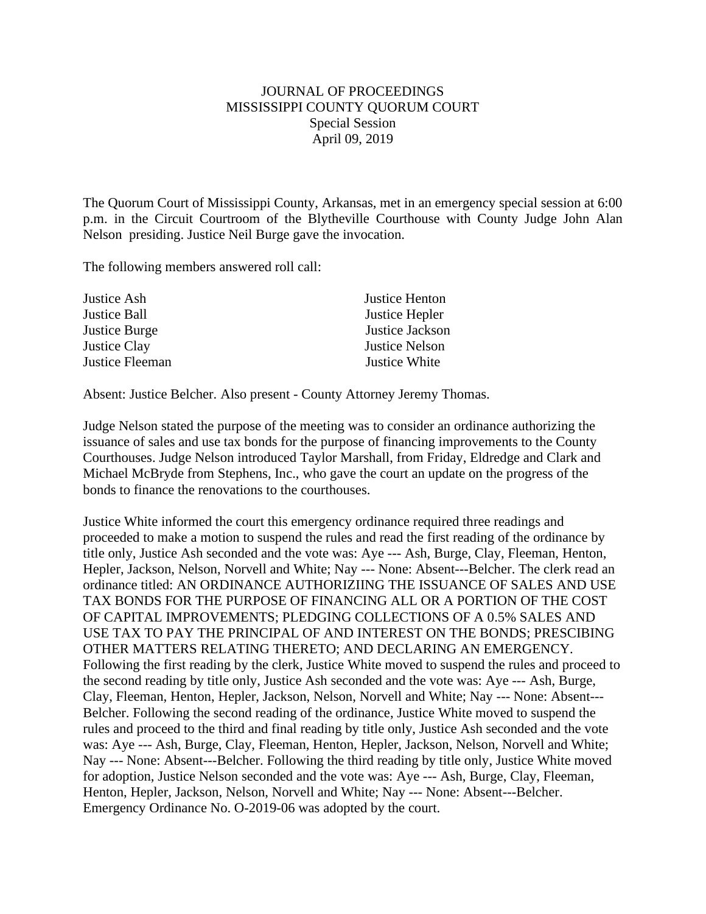## JOURNAL OF PROCEEDINGS MISSISSIPPI COUNTY QUORUM COURT Special Session April 09, 2019

The Quorum Court of Mississippi County, Arkansas, met in an emergency special session at 6:00 p.m. in the Circuit Courtroom of the Blytheville Courthouse with County Judge John Alan Nelson presiding. Justice Neil Burge gave the invocation.

The following members answered roll call:

| Justice Ash         | Justice Henton        |
|---------------------|-----------------------|
| Justice Ball        | Justice Hepler        |
| Justice Burge       | Justice Jackson       |
| <b>Justice Clay</b> | <b>Justice Nelson</b> |
| Justice Fleeman     | Justice White         |
|                     |                       |

Absent: Justice Belcher. Also present - County Attorney Jeremy Thomas.

Judge Nelson stated the purpose of the meeting was to consider an ordinance authorizing the issuance of sales and use tax bonds for the purpose of financing improvements to the County Courthouses. Judge Nelson introduced Taylor Marshall, from Friday, Eldredge and Clark and Michael McBryde from Stephens, Inc., who gave the court an update on the progress of the bonds to finance the renovations to the courthouses.

Justice White informed the court this emergency ordinance required three readings and proceeded to make a motion to suspend the rules and read the first reading of the ordinance by title only, Justice Ash seconded and the vote was: Aye --- Ash, Burge, Clay, Fleeman, Henton, Hepler, Jackson, Nelson, Norvell and White; Nay --- None: Absent---Belcher. The clerk read an ordinance titled: AN ORDINANCE AUTHORIZIING THE ISSUANCE OF SALES AND USE TAX BONDS FOR THE PURPOSE OF FINANCING ALL OR A PORTION OF THE COST OF CAPITAL IMPROVEMENTS; PLEDGING COLLECTIONS OF A 0.5% SALES AND USE TAX TO PAY THE PRINCIPAL OF AND INTEREST ON THE BONDS; PRESCIBING OTHER MATTERS RELATING THERETO; AND DECLARING AN EMERGENCY. Following the first reading by the clerk, Justice White moved to suspend the rules and proceed to the second reading by title only, Justice Ash seconded and the vote was: Aye --- Ash, Burge, Clay, Fleeman, Henton, Hepler, Jackson, Nelson, Norvell and White; Nay --- None: Absent--- Belcher. Following the second reading of the ordinance, Justice White moved to suspend the rules and proceed to the third and final reading by title only, Justice Ash seconded and the vote was: Aye --- Ash, Burge, Clay, Fleeman, Henton, Hepler, Jackson, Nelson, Norvell and White; Nay --- None: Absent---Belcher. Following the third reading by title only, Justice White moved for adoption, Justice Nelson seconded and the vote was: Aye --- Ash, Burge, Clay, Fleeman, Henton, Hepler, Jackson, Nelson, Norvell and White; Nay --- None: Absent---Belcher. Emergency Ordinance No. O-2019-06 was adopted by the court.